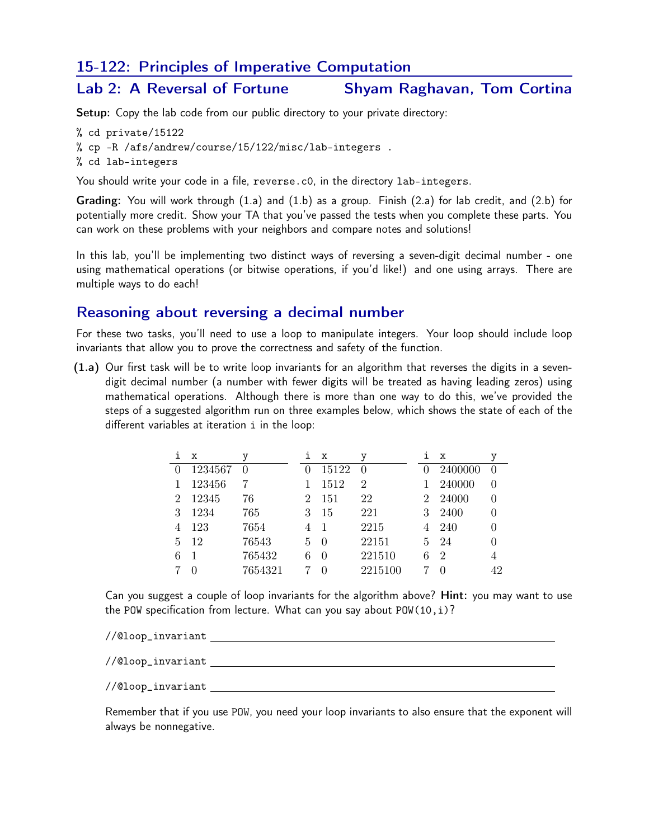## 15-122: Principles of Imperative Computation

## Lab 2: A Reversal of Fortune Shyam Raghavan, Tom Cortina

Setup: Copy the lab code from our public directory to your private directory:

% cd private/15122

% cp -R /afs/andrew/course/15/122/misc/lab-integers .

% cd lab-integers

You should write your code in a file, reverse.c0, in the directory lab-integers.

Grading: You will work through (1.a) and (1.b) as a group. Finish (2.a) for lab credit, and (2.b) for potentially more credit. Show your TA that you've passed the tests when you complete these parts. You can work on these problems with your neighbors and compare notes and solutions!

In this lab, you'll be implementing two distinct ways of reversing a seven-digit decimal number - one using mathematical operations (or bitwise operations, if you'd like!) and one using arrays. There are multiple ways to do each!

## Reasoning about reversing a decimal number

For these two tasks, you'll need to use a loop to manipulate integers. Your loop should include loop invariants that allow you to prove the correctness and safety of the function.

(1.a) Our first task will be to write loop invariants for an algorithm that reverses the digits in a sevendigit decimal number (a number with fewer digits will be treated as having leading zeros) using mathematical operations. Although there is more than one way to do this, we've provided the steps of a suggested algorithm run on three examples below, which shows the state of each of the different variables at iteration i in the loop:

| Ť. | x       | У       | i              | x            | у                | ı            | x                |    |
|----|---------|---------|----------------|--------------|------------------|--------------|------------------|----|
|    | 1234567 |         |                | 15122        | $\left( \right)$ | $\mathbf{0}$ | 2400000          |    |
|    | 123456  |         |                | 1512         | $\overline{2}$   |              | 240000           |    |
| 2  | 12345   | 76      | $\overline{2}$ | 151          | 22               | $2^{\circ}$  | -24000           |    |
| 3  | 1234    | 765     | 3              | 15           | 221              | 3            | 2400             |    |
|    | 123     | 7654    | 4              | 1            | 2215             | 4            | 240              |    |
| 5  | 12      | 76543   | 5.             | -0           | 22151            | 5.           | - 24             |    |
| 6  |         | 765432  | 6              | $\theta$     | 221510           | 6            | $\overline{2}$   | 4  |
|    |         | 7654321 |                | $\mathbf{0}$ | 2215100          |              | $\left( \right)$ | 42 |

Can you suggest a couple of loop invariants for the algorithm above? Hint: you may want to use the POW specification from lecture. What can you say about  $POW(10, i)$ ?

//@loop\_invariant

//@loop\_invariant //@loop\_invariant

Remember that if you use POW, you need your loop invariants to also ensure that the exponent will always be nonnegative.